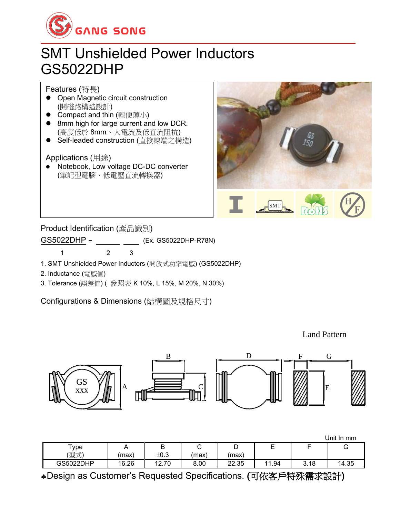

## SMT Unshielded Power Inductors GS5022DHP

Features (特長)

- Open Magnetic circuit construction (開磁路構造設計)
- Compact and thin (輕便薄小)
- 8mm high for large current and low DCR. (高度低於 8mm、大電流及低直流阻抗)
- Self-leaded construction (直接線端之構造)

Applications (用途)

⚫ Notebook, Low voltage DC-DC converter (筆記型電腦、低電壓直流轉換器)



Product Identification (產品識別)

GS5022DHP - (Ex. GS5022DHP-R78N)

1 2 3

1. SMT Unshielded Power Inductors (開放式功率電感) (GS5022DHP)

2. Inductance (電感值)

3. Tolerance (誤差值) ( 參照表 K 10%, L 15%, M 20%, N 30%)

Configurations & Dimensions (結構圖及規格尺寸)

Land Pattern



|              |       |       |       |       |       |      | Unit In mm |
|--------------|-------|-------|-------|-------|-------|------|------------|
| ${\sf Type}$ |       | D     |       | ◡     | -     |      | U          |
| (型式)         | (max) | ±0.3  | (max) | (max) |       |      |            |
| GS5022DHP    | 16.26 | 12.70 | 8.00  | 22.35 | 11.94 | 3.18 | 14.35      |

Design as Customer's Requested Specifications. (可依客戶特殊需求設計)